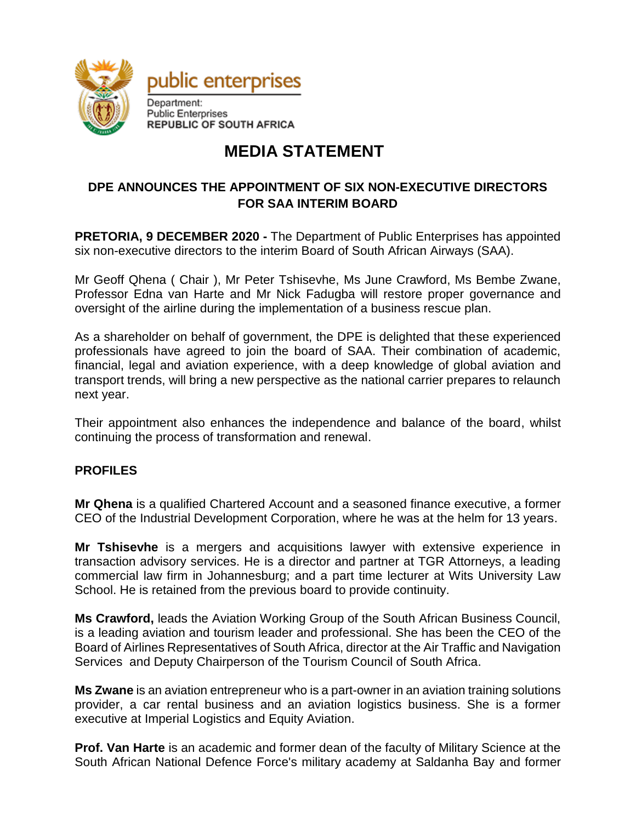

## **MEDIA STATEMENT**

## **DPE ANNOUNCES THE APPOINTMENT OF SIX NON-EXECUTIVE DIRECTORS FOR SAA INTERIM BOARD**

**PRETORIA, 9 DECEMBER 2020 -** The Department of Public Enterprises has appointed six non-executive directors to the interim Board of South African Airways (SAA).

Mr Geoff Qhena ( Chair ), Mr Peter Tshisevhe, Ms June Crawford, Ms Bembe Zwane, Professor Edna van Harte and Mr Nick Fadugba will restore proper governance and oversight of the airline during the implementation of a business rescue plan.

As a shareholder on behalf of government, the DPE is delighted that these experienced professionals have agreed to join the board of SAA. Their combination of academic, financial, legal and aviation experience, with a deep knowledge of global aviation and transport trends, will bring a new perspective as the national carrier prepares to relaunch next year.

Their appointment also enhances the independence and balance of the board, whilst continuing the process of transformation and renewal.

## **PROFILES**

**Mr Qhena** is a qualified Chartered Account and a seasoned finance executive, a former CEO of the Industrial Development Corporation, where he was at the helm for 13 years.

**Mr Tshisevhe** is a mergers and acquisitions lawyer with extensive experience in transaction advisory services. He is a director and partner at TGR Attorneys, a leading commercial law firm in Johannesburg; and a part time lecturer at Wits University Law School. He is retained from the previous board to provide continuity.

**Ms Crawford,** leads the Aviation Working Group of the South African Business Council, is a leading aviation and tourism leader and professional. She has been the CEO of the Board of Airlines Representatives of South Africa, director at the Air Traffic and Navigation Services and Deputy Chairperson of the Tourism Council of South Africa.

**Ms Zwane** is an aviation entrepreneur who is a part-owner in an aviation training solutions provider, a car rental business and an aviation logistics business. She is a former executive at Imperial Logistics and Equity Aviation.

**Prof. Van Harte** is an academic and former dean of the faculty of Military Science at the South African National Defence Force's military academy at Saldanha Bay and former